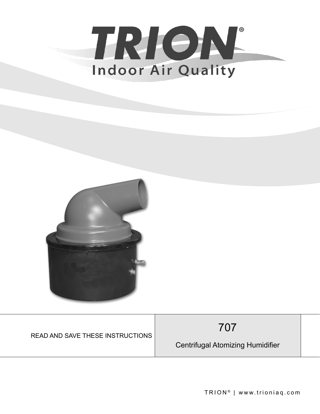



| <b>READ AND SAVE THESE INSTRUCTIONS</b> | 707                                     |  |
|-----------------------------------------|-----------------------------------------|--|
|                                         | <b>Centrifugal Atomizing Humidifier</b> |  |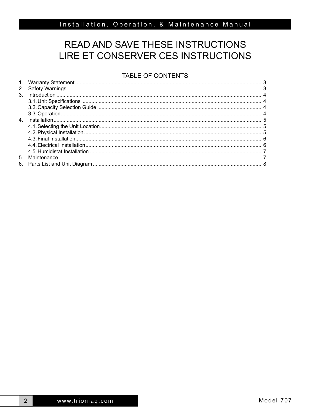# READ AND SAVE THESE INSTRUCTIONS LIRE ET CONSERVER CES INSTRUCTIONS

# TABLE OF CONTENTS

 $2<sup>1</sup>$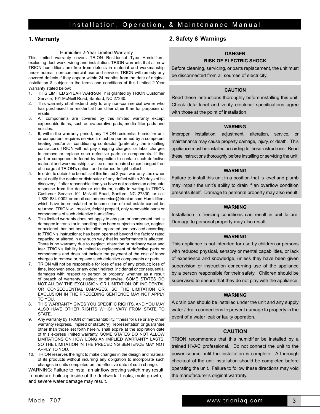## **1. Warranty**

#### Humidifier 2-Year Limited Warranty

This limited warranty covers TRION Residential Type Humidifiers, excluding duct work, wiring and installation. TRION warrants that all new TRION humidifiers are free from defects in material and workmanship under normal, non-commercial use and service. TRION will remedy any covered defects if they appear within 24 months from the date of original installation & subject to the terms and conditions of this Limited 2-Year Warranty stated below:

- 1. THIS LIMITED 2-YEAR WARRANTY is granted by TRION Customer Service, 101 McNeill Road, Sanford, NC 27330.
- 2. This warranty shall extend only to any non-commercial owner who has purchased the residential humidifier other than for purposes of resale.
- 3. All components are covered by this limited warranty except expendable items, such as evaporative pads, media filter pads and nozzles.
- 4. If, within the warranty period, any TRION residential humidifier unit or component requires service it must be performed by a competent heating and/or air conditioning contractor (preferably the installing contractor). TRION will not pay shipping charges, or labor charges to remove or replace such defective parts or components. If the part or component is found by inspection to contain such defective material and workmanship it will be either repaired or exchanged free of charge at TRION's option, and returned freight collect.
- 5. In order to obtain the benefits of this limited 2-year warranty, the owner must notify the dealer or distributor of any defect within 30 days of its discovery. If after reasonable time you have not received an adequate response from the dealer or distributor, notify in writing to TRION Customer Service 101 McNeill Road, Sanford, NC 27330, or call 1-800-884-0002 or email customerservice@trioniaq.com Humidifiers which have been installed or become part of real estate cannot be returned. TRION will receive, freight prepaid, only removable parts or components of such defective humidifiers.
- 6. This limited warranty does not apply to any part or component that is damaged in transit or in handling, has been subject to misuse, neglect or accident; has not been installed, operated and serviced according to TRION's instructions; has been operated beyond the factory rated capacity; or altered in any such way that its performance is affected. There is no warranty due to neglect, alteration or ordinary wear and tear. TRION's liability is limited to replacement of defective parts or components and does not include the payment of the cost of labor charges to remove or replace such defective components or parts.
- 7. TRION will not be responsible for loss of use of any product; loss of time, inconvenience, or any other indirect, incidental or consequential damages with respect to person or property, whether as a result of breach of warranty, neglect or otherwise. SOME STATES DO NOT ALLOW THE EXCLUSION OR LIMITATION OF INCIDENTAL OR CONSEQUENTIAL DAMAGES, SO THE LIMITATION OR EXCLUSION IN THE PRECEDING SENTENCE MAY NOT APPLY TO YOU.
- 8. THIS WARRANTY GIVES YOU SPECIFIC RIGHTS, AND YOU MAY ALSO HAVE OTHER RIGHTS WHICH VARY FROM STATE TO STATE.
- 9. Any warranty by TRION of merchantability, fitness for use or any other warranty (express, implied or statutory), representation or guarantee other than those set forth herein, shall expire at the expiration date of this express limited warranty. SOME STATES DO NOT ALLOW LIMITATIONS ON HOW LONG AN IMPLIED WARRANTY LASTS, SO THE LIMITATION IN THE PRECEDING SENTENCE MAY NOT APPLY TO YOU.
- 10. TRION reserves the right to make changes in the design and material of its products without incurring any obligation to incorporate such changes in units completed on the effective date of such change.

WARNING: Failure to install an air flow proving switch may result in moisture build-up inside of the ductwork. Leaks, mold growth, and severe water damage may result.

## **2. Safety & Warnings**

# **DANGER**

## **RISK OF ELECTRIC SHOCK**

Before cleaning, servicing, or parts replacement, the unit must be disconnected from all sources of electricity.

### **CAUTION**

Read these instructions thoroughly before installing this unit. Check data label and verify electrical specifications agree with those at the point of installation.

#### **WARNING**

Improper installation, adjustment, alteration, service, or maintenance may cause property damage, injury, or death. This appliance must be installed according to these instructions. Read these instructions thoroughly before installing or servicing the unit.

#### **WARNING**

Failure to install this unit in a position that is level and plumb may impair the unit's ability to drain if an overflow condition presents itself. Damage to personal property may also result.

## **WARNING**

Installation in freezing conditions can result in unit failure. Damage to personal property may also result.

#### **WARNING**

This appliance is not intended for use by children or persons with reduced physical, sensory or mental capabilities, or lack of experience and knowledge, unless they have been given supervision or instruction concerning use of the appliance by a person responsible for their safety. Children should be supervised to ensure that they do not play with the appliance.

#### **WARNING**

A drain pan should be installed under the unit and any supply water / drain connections to prevent damage to property in the event of a water leak or faulty operation.

# CAUTION **CAUTION**

TRION recommends that this humidifier be installed by a trained HVAC professional. Do not connect the unit to the trained HVAC professional. Do not connect the unit to the power source until the installation is complete. A thorough checkout of the unit installation should be completed before operating the unit. Failure to follow these directions may void the manufacturer's original warranty.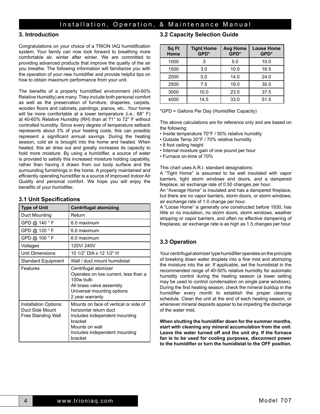# **3. Introduction**

Congratulations on your choice of a TRION IAQ humidification system. Your family can now look forward to breathing more comfortable air, winter after winter. We are committed to providing advanced products that improve the quality of the air you breathe. The following information will familiarize you with the operation of your new humidifier and provide helpful tips on how to obtain maximum performance from your unit.

The benefits of a properly humidified environment (40-60% Relative Humidity) are many. They include both personal comfort as well as the preservation of furniture, draperies, carpets, wooden floors and cabinets, paintings, pianos, etc.. Your home will be more comfortable at a lower temperature (i.e.: 68° F) at 40-60% Relative Humidity (RH) than at 71° to 72° F without controlled humidity. Since every degree of temperature setback represents about 3% of your heating costs, this can possibly represent a significant annual savings. During the heating season, cold air is brought into the home and heated. When heated, this air dries out and greatly increases its capacity to hold more moisture. By using a humidifier, a source of water is provided to satisfy this increased moisture holding capability, rather than having it drawn from our body surface and the surrounding furnishings in the home. A properly maintained and efficiently operating humidifier is a source of improved Indoor Air Quality and personal comfort. We hope you will enjoy the benefits of your humidifier.

# **3.1 Unit Specifications**

| <b>Type of Unit</b>                                            | <b>Centrifugal atomizing</b>                                                                                                                                              |  |
|----------------------------------------------------------------|---------------------------------------------------------------------------------------------------------------------------------------------------------------------------|--|
| Duct Mounting                                                  | Return                                                                                                                                                                    |  |
| GPD @ 140 ° F                                                  | 6.0 maximum                                                                                                                                                               |  |
| GPD @ 120 °F                                                   | 6.0 maximum                                                                                                                                                               |  |
| GPD @ 100 °F                                                   | 6.0 maximum                                                                                                                                                               |  |
| Voltages                                                       | 120V/240V                                                                                                                                                                 |  |
| <b>Unit Dimensions</b>                                         | 10 1/2" DIA x 12 1/2" H                                                                                                                                                   |  |
| Standard Equipment                                             | Wall / duct mount humidistat                                                                                                                                              |  |
| Features                                                       | Centrifugal atomizer<br>Operates on low current, less than a<br>100w bulb<br>All brass valve assembly<br>Universal mounting options<br>2 year warranty                    |  |
| Installation Options:<br>Duct Side Mount<br>Free Standing Wall | Mounts on face of vertical or side of<br>horizontal return duct<br>Includes independent mounting<br>bracket<br>Mounts on wall<br>Includes independent mounting<br>bracket |  |

# **3.2 Capacity Selection Guide**

| Sq Ft<br>Home | <b>Tight Home</b><br>GPD* | <b>Avg Home</b><br>GPD* | <b>Loose Home</b><br>GPD* |
|---------------|---------------------------|-------------------------|---------------------------|
| 1000          | .5                        | 5.0                     | 10.0                      |
| 1500          | 3.0                       | 10.0                    | 16.5                      |
| 2000          | 5.0                       | 14.0                    | 24.0                      |
| 2500          | 7.5                       | 19.0                    | 30.5                      |
| 3000          | 10.0                      | 23.5                    | 37.5                      |
| 4000          | 14.5                      | 33.0                    | 51.5                      |

#### \*GPD = Gallons Per Day (Humidifier Capacity)

The above calculations are for reference only and are based on the following:

- Inside temperature 70°F / 50% relative humidity
- Outside Temp 20°F / 70% relative humidity
- 8 foot ceiling height
- Internal moisture gain of one pound per hour
- Furnace on-time of 70%

This chart uses A.R.I. standard designations:

A "Tight Home" is assumed to be well insulated with vapor barriers, tight storm windows and doors, and a dampered fireplace; air exchange rate of 0.50 changes per hour.

An "Average Home" is insulated and has a dampered fireplace, but there are no vapor barriers, storm doors, or storm windows; air exchange rate of 1.0 change per hour.

A "Loose Home" is generally one constructed before 1930, has little or no insulation, no storm doors, storm windows, weather stripping or vapor barriers, and often no effective dampering of fireplaces; air exchange rate is as high as 1.5 changes per hour.

# **3.3 Operation**

Your centrifugal atomizer type humidifier operates on the principle of breaking down water droplets into a fine mist and atomizing the moisture into the air. If applicable, set the humidistat in the recommended range of 40-50% relative humidity for automatic humidity control during the heating season (a lower setting may be used to control condensation on single pane windows). During the first heating season, check the mineral buildup in the humidifier every month to establish the proper cleaning schedule. Clean the unit at the end of each heating season, or whenever mineral deposits appear to be impeding the discharge of the water mist.

**When shutting the humidifier down for the summer months, start with cleaning any mineral accumulation from the unit. Leave the water turned off and the unit dry. If the furnace fan is to be used for cooling purposes, disconnect power to the humidifier or turn the humidistat to the OFF position.**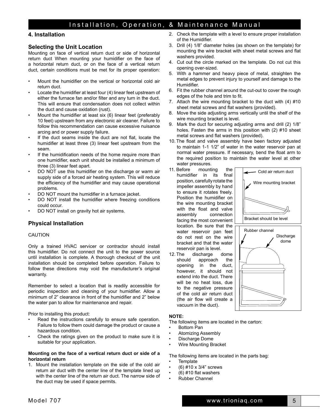# **4. Installation**

# **Selecting the Unit Location**

Mounting on face of vertical return duct or side of horizontal return duct When mounting your humidifier on the face of a horizontal return duct, or on the face of a vertical return duct, certain conditions must be met for its proper operation:

- Mount the humidifier on the vertical or horizontal cold air return duct.
- Locate the humidifier at least four (4) linear feet upstream of either the furnace fan and/or filter and any turn in the duct. This will ensure that condensation does not collect within the duct and cause oxidation (rust).
- Mount the humidifier at least six (6) linear feet (preferably 10 feet) upstream from any electronic air cleaner. Failure to follow this recommendation can cause excessive nuisance arcing and or power supply failure.
- If the duct seams inside the duct are not flat, locate the humidifier at least three (3) linear feet upstream from the seam.
- If the humidification needs of the home require more than one humidifier, each unit should be installed a minimum of three (3) linear feet apart.
- DO NOT use this humidifier on the discharge or warm air supply side of a forced air heating system. This will reduce the efficiency of the humidifier and may cause operational problems.
- DO NOT mount the humidifier in a furnace jacket.
- DO NOT install the humidifier where freezing conditions could occur.
- DO NOT install on gravity hot air systems.

# **Physical Installation**

## CAUTION

Only a trained HVAC servicer or contractor should install this humidifier. Do not connect the unit to the power source until installation is complete. A thorough checkout of the unit installation should be completed before operation. Failure to follow these directions may void the manufacturer's original warranty.

Remember to select a location that is readily accessible for periodic inspection and cleaning of your humidifier. Allow a minimum of 2" clearance in front of the humidifier and 2" below the water pan to allow for maintenance and repair.

Prior to installing this product:

- Read the instructions carefully to ensure safe operation. Failure to follow them could damage the product or cause a hazardous condition.
- Check the ratings given on the product to make sure it is suitable for your application.

#### **Mounting on the face of a vertical return duct or side of a horizontal return**

1. Mount the installation template on the side of the cold air return air duct with the center line of the template lined up with the center line of the return air duct. The narrow side of the duct may be used if space permits.

- 2. Check the template with a level to ensure proper installation of the Humidifier.
- 3. Drill (4) 1/8" diameter holes (as shown on the template) for mounting the wire bracket with sheet metal screws and flat washers provided.
- 4. Cut out the circle marked on the template. Do not cut this opening over-sized.
- 5. With a hammer and heavy piece of metal, straighten the metal edges to prevent injury to yourself and damage to the Humidifier.
- 6. Fit the rubber channel around the cut-out to cover the rough edges of the hole and trim to fit.
- 7. Attach the wire mounting bracket to the duct with (4) #10 sheet metal screws and flat washers (provided).
- 8. Move the side adjusting arms vertically until the shelf of the wire mounting bracket is level.
- 9. Mark the duct for securing adjusting arms and drill (2) 1/8" holes. Fasten the arms in this position with (2) #10 sheet metal screws and flat washers (provided).
- 10. The float and valve assembly have been factory adjusted to maintain 1-1 1/2" of water in the water reservoir pan at normal water pressure. If necessary, bend the float arm to the required position to maintain the water level at other water pressures.
- 11. Before mounting the humidifier in its final position, carefully rotate the impeller assembly by hand to ensure it rotates freely. Position the humidifier on the wire mounting bracket with the float and valve assembly connection facing the most convenient location. Be sure that the water reservoir pan feet do not rest on the wire bracket and that the water reservoir pan is level.
- 12. The discharge dome should approach the opening in the duct, however, it should not extend into the duct. There will be no heat loss, due to the negative pressure of the cold air return duct (the air flow will create a vacuum in the duct).



## **NOTE:**

The following items are located in the carton:

- Bottom Pan
- Atomizing Assembly
- Discharge Dome
- Wire Mounting Bracket

The following items are located in the parts bag:

- **Template**
- (6) #10 x 3/4" screws
- $(6)$  #10 flat washers
- Rubber Channel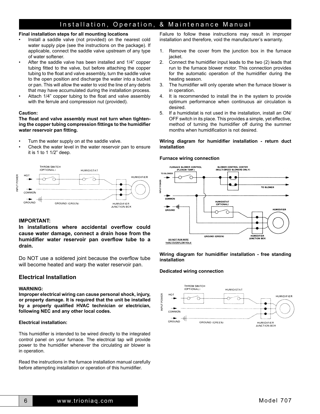#### **Final installation steps for all mounting locations**

- Install a saddle valve (not provided) on the nearest cold water supply pipe (see the instructions on the package). If applicable, connect the saddle valve upstream of any type of water softener.
- After the saddle valve has been installed and 1/4" copper tubing fitted to the valve, but before attaching the copper tubing to the float and valve assembly, turn the saddle valve to the open position and discharge the water into a bucket or pan. This will allow the water to void the line of any debris that may have accumulated during the installation process.
- Attach 1/4" copper tubing to the float and valve assembly with the ferrule and compression nut (provided).

#### **Caution:**

**The float and valve assembly must not turn when tightening the copper tubing compression fittings to the humidifier water reservoir pan fitting.**

- Turn the water supply on at the saddle valve.
- Check the water level in the water reservoir pan to ensure it is 1 to 1 1/2" deep.



#### **IMPORTANT:**

**In installations where accidental overflow could cause water damage, connect a drain hose from the humidifier water reservoir pan overflow tube to a drain.**

Do NOT use a soldered joint because the overflow tube will become heated and warp the water reservoir pan.

# **Electrical Installation**

#### **WARNING:**

**Improper electrical wiring can cause personal shock, injury, or property damage. It is required that the unit be installed by a properly qualified HVAC technician or electrician, following NEC and any other local codes.**

#### **Electrical installation:**

This humidifier is intended to be wired directly to the integrated control panel on your furnace. The electrical tap will provide power to the humidifier whenever the circulating air blower is in operation.

Read the instructions in the furnace installation manual carefully before attempting installation or operation of this humidifier.

Failure to follow these instructions may result in improper installation and therefore, void the manufacturer's warranty.

- 1. Remove the cover from the junction box in the furnace jacket.
- 2. Connect the humidifier input leads to the two (2) leads that run to the furnace blower motor. This connection provides for the automatic operation of the humidifier during the heating season.
- 3. The humidifier will only operate when the furnace blower is in operation.
- 4. It is recommended to install the in the system to provide optimum performance when continuous air circulation is desired.
- 5. If a humidistat is not used in the installation, install an ON/ OFF switch in its place. This provides a simple, yet effective, method of turning the humidifier off during the summer months when humidification is not desired.

#### **Wiring diagram for humidifier installation - return duct installation**

#### **Furnace wiring connection**



**Wiring diagram for humidifier installation - free standing installation**

#### **Dedicated wiring connection**

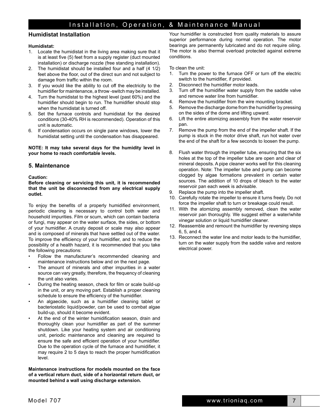## **Humidistat Installation**

#### **Humidistat:**

- 1. Locate the humidistat in the living area making sure that it is at least five (5) feet from a supply register (duct mounted installation) or discharge nozzle (free standing installation).
- 2. The humidistat should be installed four and a half (4 1/2) feet above the floor, out of the direct sun and not subject to damage from traffic within the room.
- 3. If you would like the ability to cut off the electricity to the humidifier for maintenance, a throw -switch may be installed.
- 4. Turn the humidistat to the highest level (past 60%) and the humidifier should begin to run. The humidifier should stop when the humidistat is turned off.
- 5. Set the furnace controls and humidistat for the desired conditions (30-40% RH is recommended). Operation of this unit is automatic.
- 6. If condensation occurs on single pane windows, lower the humidistat setting until the condensation has disappeared.

**NOTE: It may take several days for the humidity level in your home to reach comfortable levels.**

### **5. Maintenance**

#### **Caution:**

**Before cleaning or servicing this unit, it is recommended that the unit be disconnected from any electrical supply outlet.**

To enjoy the benefits of a properly humidified environment, periodic cleaning is necessary to control both water and household impurities. Film or scum, which can contain bacteria or fungi, may appear on the water surface, the sides, or bottom of your humidifier. A crusty deposit or scale may also appear and is composed of minerals that have settled out of the water. To improve the efficiency of your humidifier, and to reduce the possibility of a health hazard, it is recommended that you take the following precautions:

- Follow the manufacturer's recommended cleaning and maintenance instructions below and on the next page.
- The amount of minerals and other impurities in a water source can vary greatly, therefore, the frequency of cleaning the unit also varies.
- During the heating season, check for film or scale build-up in the unit, or any moving part. Establish a proper cleaning schedule to ensure the efficiency of the humidifier.
- An algaecide, such as a humidifier cleaning tablet or bacteriostatic liquid/powder, can be used to combat algae build-up, should it become evident.
- At the end of the winter humidification season, drain and thoroughly clean your humidifier as part of the summer shutdown. Like your heating system and air conditioning unit, periodic maintenance and cleaning are required to ensure the safe and efficient operation of your humidifier. Due to the operation cycle of the furnace and humidifier, it may require 2 to 5 days to reach the proper humidification level.

**Maintenance instructions for models mounted on the face of a vertical return duct, side of a horizontal return duct, or mounted behind a wall using discharge extension.** 

Your humidifier is constructed from quality materials to assure superior performance during normal operation. The motor bearings are permanently lubricated and do not require oiling. The motor is also thermal overload protected against extreme conditions.

To clean the unit:

- 1. Turn the power to the furnace OFF or turn off the electric switch to the humidifier, if provided.
- 2. Disconnect the humidifier motor leads.
- 3. Turn off the humidifier water supply from the saddle valve and remove water line from humidifier.
- 4. Remove the humidifier from the wire mounting bracket.
- 5. Remove the discharge dome from the humidifier by pressing on the sides of the dome and lifting upward.
- 6. Lift the entire atomizing assembly from the water reservoir pan.
- 7. Remove the pump from the end of the impeller shaft. If the pump is stuck in the motor drive shaft, run hot water over the end of the shaft for a few seconds to loosen the pump.
- 8. Flush water through the impeller tube, ensuring that the six holes at the top of the impeller tube are open and clear of mineral deposits. A pipe cleaner works well for this cleaning operation. Note: The impeller tube and pump can become clogged by algae formations prevalent in certain water sources. The addition of 10 drops of bleach to the water reservoir pan each week is advisable.
- 9. Replace the pump into the impeller shaft.
- 10. Carefully rotate the impeller to ensure it turns freely. Do not force the impeller shaft to turn or breakage could result.
- 11. With the atomizing assembly removed, clean the water reservoir pan thoroughly. We suggest either a water/white vinegar solution or liquid humidifier cleaner.
- 12. Reassemble and remount the humidifier by reversing steps 6, 5, and 4.
- 13. Reconnect the water line and motor leads to the humidifier, turn on the water supply from the saddle valve and restore electrical power.